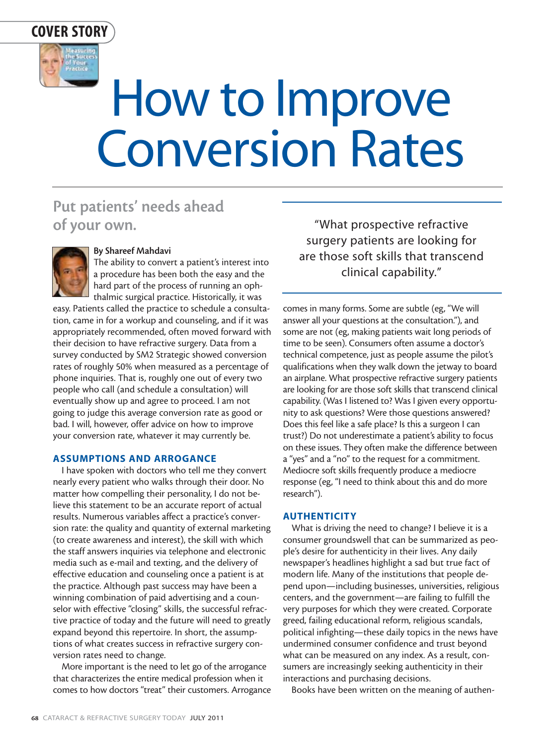

# How to Improve Conversion Rates

## **Put patients' needs ahead of your own.**



#### **By Shareef Mahdavi**

The ability to convert a patient's interest into a procedure has been both the easy and the hard part of the process of running an ophthalmic surgical practice. Historically, it was

easy. Patients called the practice to schedule a consultation, came in for a workup and counseling, and if it was appropriately recommended, often moved forward with their decision to have refractive surgery. Data from a survey conducted by SM2 Strategic showed conversion rates of roughly 50% when measured as a percentage of phone inquiries. That is, roughly one out of every two people who call (and schedule a consultation) will eventually show up and agree to proceed. I am not going to judge this average conversion rate as good or bad. I will, however, offer advice on how to improve your conversion rate, whatever it may currently be.

#### **ASSUMPTIONS AND ARROGANCE**

I have spoken with doctors who tell me they convert nearly every patient who walks through their door. No matter how compelling their personality, I do not believe this statement to be an accurate report of actual results. Numerous variables affect a practice's conversion rate: the quality and quantity of external marketing (to create awareness and interest), the skill with which the staff answers inquiries via telephone and electronic media such as e-mail and texting, and the delivery of effective education and counseling once a patient is at the practice. Although past success may have been a winning combination of paid advertising and a counselor with effective "closing" skills, the successful refractive practice of today and the future will need to greatly expand beyond this repertoire. In short, the assumptions of what creates success in refractive surgery conversion rates need to change.

More important is the need to let go of the arrogance that characterizes the entire medical profession when it comes to how doctors "treat" their customers. Arrogance

"What prospective refractive surgery patients are looking for are those soft skills that transcend clinical capability."

comes in many forms. Some are subtle (eg, "We will answer all your questions at the consultation."), and some are not (eg, making patients wait long periods of time to be seen). Consumers often assume a doctor's technical competence, just as people assume the pilot's qualifications when they walk down the jetway to board an airplane. What prospective refractive surgery patients are looking for are those soft skills that transcend clinical capability. (Was I listened to? Was I given every opportunity to ask questions? Were those questions answered? Does this feel like a safe place? Is this a surgeon I can trust?) Do not underestimate a patient's ability to focus on these issues. They often make the difference between a "yes" and a "no" to the request for a commitment. Mediocre soft skills frequently produce a mediocre response (eg, "I need to think about this and do more research").

#### **AUTHENTICITY**

What is driving the need to change? I believe it is a consumer groundswell that can be summarized as people's desire for authenticity in their lives. Any daily newspaper's headlines highlight a sad but true fact of modern life. Many of the institutions that people depend upon—including businesses, universities, religious centers, and the government—are failing to fulfill the very purposes for which they were created. Corporate greed, failing educational reform, religious scandals, political infighting—these daily topics in the news have undermined consumer confidence and trust beyond what can be measured on any index. As a result, consumers are increasingly seeking authenticity in their interactions and purchasing decisions.

Books have been written on the meaning of authen-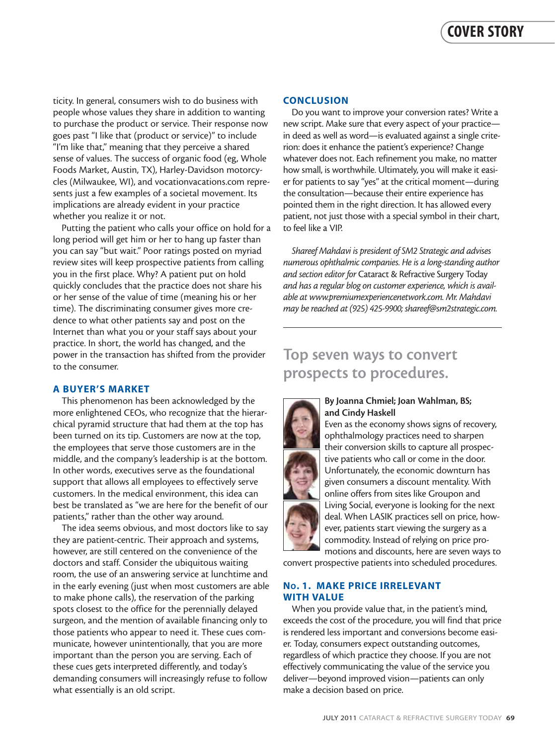ticity. In general, consumers wish to do business with people whose values they share in addition to wanting to purchase the product or service. Their response now goes past "I like that (product or service)" to include "I'm like that," meaning that they perceive a shared sense of values. The success of organic food (eg, Whole Foods Market, Austin, TX), Harley-Davidson motorcycles (Milwaukee, WI), and vocationvacations.com represents just a few examples of a societal movement. Its implications are already evident in your practice whether you realize it or not.

Putting the patient who calls your office on hold for a long period will get him or her to hang up faster than you can say "but wait." Poor ratings posted on myriad review sites will keep prospective patients from calling you in the first place. Why? A patient put on hold quickly concludes that the practice does not share his or her sense of the value of time (meaning his or her time). The discriminating consumer gives more credence to what other patients say and post on the Internet than what you or your staff says about your practice. In short, the world has changed, and the power in the transaction has shifted from the provider to the consumer.

#### **A BUYER'S MARKET**

This phenomenon has been acknowledged by the more enlightened CEOs, who recognize that the hierarchical pyramid structure that had them at the top has been turned on its tip. Customers are now at the top, the employees that serve those customers are in the middle, and the company's leadership is at the bottom. In other words, executives serve as the foundational support that allows all employees to effectively serve customers. In the medical environment, this idea can best be translated as "we are here for the benefit of our patients," rather than the other way around.

The idea seems obvious, and most doctors like to say they are patient-centric. Their approach and systems, however, are still centered on the convenience of the doctors and staff. Consider the ubiquitous waiting room, the use of an answering service at lunchtime and in the early evening (just when most customers are able to make phone calls), the reservation of the parking spots closest to the office for the perennially delayed surgeon, and the mention of available financing only to those patients who appear to need it. These cues communicate, however unintentionally, that you are more important than the person you are serving. Each of these cues gets interpreted differently, and today's demanding consumers will increasingly refuse to follow what essentially is an old script.

#### **CONCLUSION**

Do you want to improve your conversion rates? Write a new script. Make sure that every aspect of your practice in deed as well as word—is evaluated against a single criterion: does it enhance the patient's experience? Change whatever does not. Each refinement you make, no matter how small, is worthwhile. Ultimately, you will make it easier for patients to say "yes" at the critical moment—during the consultation—because their entire experience has pointed them in the right direction. It has allowed every patient, not just those with a special symbol in their chart, to feel like a VIP.

*Shareef Mahdavi is president of SM2 Strategic and advises numerous ophthalmic companies. He is a long-standing author and section editor for* Cataract & Refractive Surgery Today *and has a regular blog on customer experience, which is available at www.premiumexperiencenetwork.com. Mr. Mahdavi may be reached at (925) 425-9900; shareef@sm2strategic.com.*

### **Top seven ways to convert prospects to procedures.**



#### **By Joanna Chmiel; Joan Wahlman, BS; and Cindy Haskell**

Even as the economy shows signs of recovery, ophthalmology practices need to sharpen their conversion skills to capture all prospective patients who call or come in the door. Unfortunately, the economic downturn has given consumers a discount mentality. With online offers from sites like Groupon and Living Social, everyone is looking for the next deal. When LASIK practices sell on price, however, patients start viewing the surgery as a commodity. Instead of relying on price promotions and discounts, here are seven ways to

convert prospective patients into scheduled procedures.

#### **NO. 1. MAKE PRICE IRRELEVANT WITH VALUE**

When you provide value that, in the patient's mind, exceeds the cost of the procedure, you will find that price is rendered less important and conversions become easier. Today, consumers expect outstanding outcomes, regardless of which practice they choose. If you are not effectively communicating the value of the service you deliver—beyond improved vision—patients can only make a decision based on price.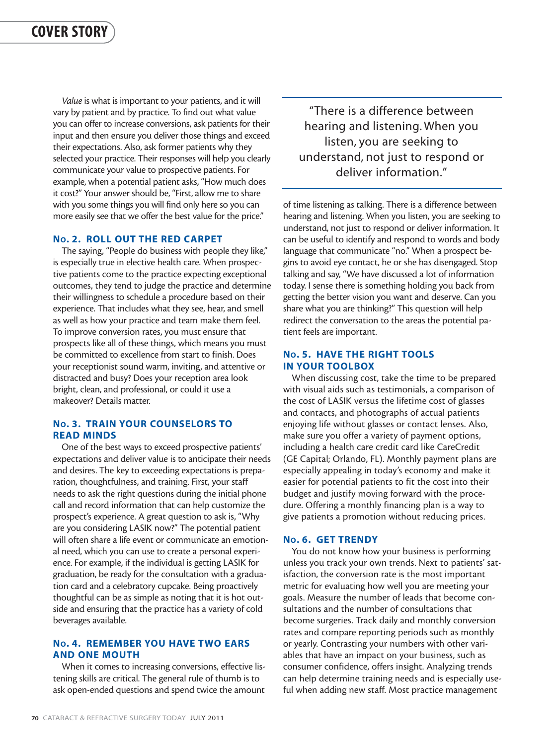*Value* is what is important to your patients, and it will vary by patient and by practice. To find out what value you can offer to increase conversions, ask patients for their input and then ensure you deliver those things and exceed their expectations. Also, ask former patients why they selected your practice. Their responses will help you clearly communicate your value to prospective patients. For example, when a potential patient asks, "How much does it cost?" Your answer should be, "First, allow me to share with you some things you will find only here so you can more easily see that we offer the best value for the price."

#### **NO. 2. ROLL OUT THE RED CARPET**

The saying, "People do business with people they like," is especially true in elective health care. When prospective patients come to the practice expecting exceptional outcomes, they tend to judge the practice and determine their willingness to schedule a procedure based on their experience. That includes what they see, hear, and smell as well as how your practice and team make them feel. To improve conversion rates, you must ensure that prospects like all of these things, which means you must be committed to excellence from start to finish. Does your receptionist sound warm, inviting, and attentive or distracted and busy? Does your reception area look bright, clean, and professional, or could it use a makeover? Details matter.

#### **NO. 3. TRAIN YOUR COUNSELORS TO READ MINDS**

One of the best ways to exceed prospective patients' expectations and deliver value is to anticipate their needs and desires. The key to exceeding expectations is preparation, thoughtfulness, and training. First, your staff needs to ask the right questions during the initial phone call and record information that can help customize the prospect's experience. A great question to ask is, "Why are you considering LASIK now?" The potential patient will often share a life event or communicate an emotional need, which you can use to create a personal experience. For example, if the individual is getting LASIK for graduation, be ready for the consultation with a graduation card and a celebratory cupcake. Being proactively thoughtful can be as simple as noting that it is hot outside and ensuring that the practice has a variety of cold beverages available.

#### **NO. 4. REMEMBER YOU HAVE TWO EARS AND ONE MOUTH**

When it comes to increasing conversions, effective listening skills are critical. The general rule of thumb is to ask open-ended questions and spend twice the amount

"There is a difference between hearing and listening. When you listen, you are seeking to understand, not just to respond or deliver information."

of time listening as talking. There is a difference between hearing and listening. When you listen, you are seeking to understand, not just to respond or deliver information. It can be useful to identify and respond to words and body language that communicate "no." When a prospect begins to avoid eye contact, he or she has disengaged. Stop talking and say, "We have discussed a lot of information today. I sense there is something holding you back from getting the better vision you want and deserve. Can you share what you are thinking?" This question will help redirect the conversation to the areas the potential patient feels are important.

#### **NO. 5. HAVE THE RIGHT TOOLS IN YOUR TOOLBOX**

When discussing cost, take the time to be prepared with visual aids such as testimonials, a comparison of the cost of LASIK versus the lifetime cost of glasses and contacts, and photographs of actual patients enjoying life without glasses or contact lenses. Also, make sure you offer a variety of payment options, including a health care credit card like CareCredit (GE Capital; Orlando, FL). Monthly payment plans are especially appealing in today's economy and make it easier for potential patients to fit the cost into their budget and justify moving forward with the procedure. Offering a monthly financing plan is a way to give patients a promotion without reducing prices.

#### **NO. 6. GET TRENDY**

You do not know how your business is performing unless you track your own trends. Next to patients' satisfaction, the conversion rate is the most important metric for evaluating how well you are meeting your goals. Measure the number of leads that become consultations and the number of consultations that become surgeries. Track daily and monthly conversion rates and compare reporting periods such as monthly or yearly. Contrasting your numbers with other variables that have an impact on your business, such as consumer confidence, offers insight. Analyzing trends can help determine training needs and is especially useful when adding new staff. Most practice management